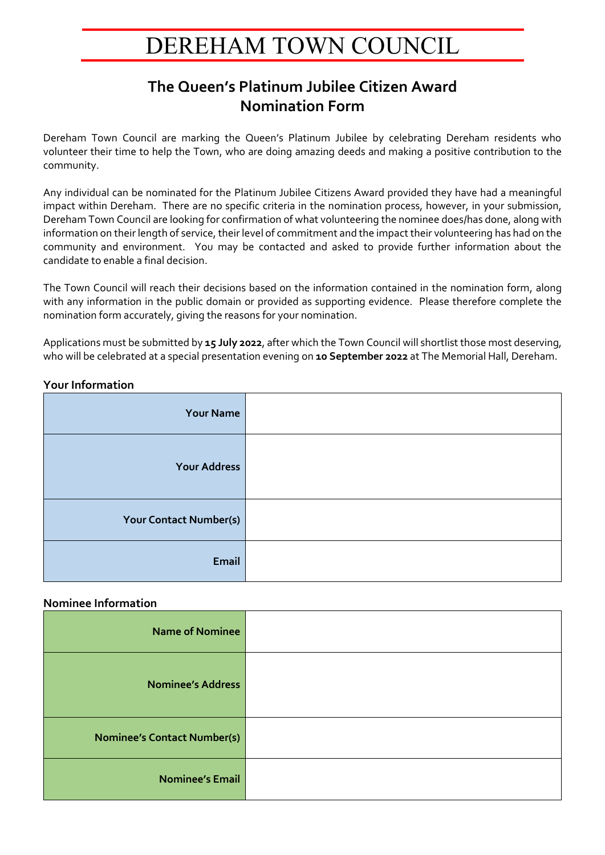# DEREHAM TOWN COUNCIL

## **The Queen's Platinum Jubilee Citizen Award Nomination Form**

Dereham Town Council are marking the Queen's Platinum Jubilee by celebrating Dereham residents who volunteer their time to help the Town, who are doing amazing deeds and making a positive contribution to the community.

Any individual can be nominated for the Platinum Jubilee Citizens Award provided they have had a meaningful impact within Dereham. There are no specific criteria in the nomination process, however, in your submission, Dereham Town Council are looking for confirmation of what volunteering the nominee does/has done, along with information on their length of service, their level of commitment and the impact their volunteering has had on the community and environment. You may be contacted and asked to provide further information about the candidate to enable a final decision.

The Town Council will reach their decisions based on the information contained in the nomination form, along with any information in the public domain or provided as supporting evidence. Please therefore complete the nomination form accurately, giving the reasons for your nomination.

Applications must be submitted by **15 July 2022**, after which the Town Council will shortlist those most deserving, who will be celebrated at a special presentation evening on **10 September 2022** at The Memorial Hall, Dereham.

### **Your Information**

| <b>Your Name</b>              |
|-------------------------------|
| <b>Your Address</b>           |
| <b>Your Contact Number(s)</b> |
| Email                         |

#### **Nominee Information**

| <b>Name of Nominee</b>             |  |
|------------------------------------|--|
| <b>Nominee's Address</b>           |  |
| <b>Nominee's Contact Number(s)</b> |  |
| <b>Nominee's Email</b>             |  |